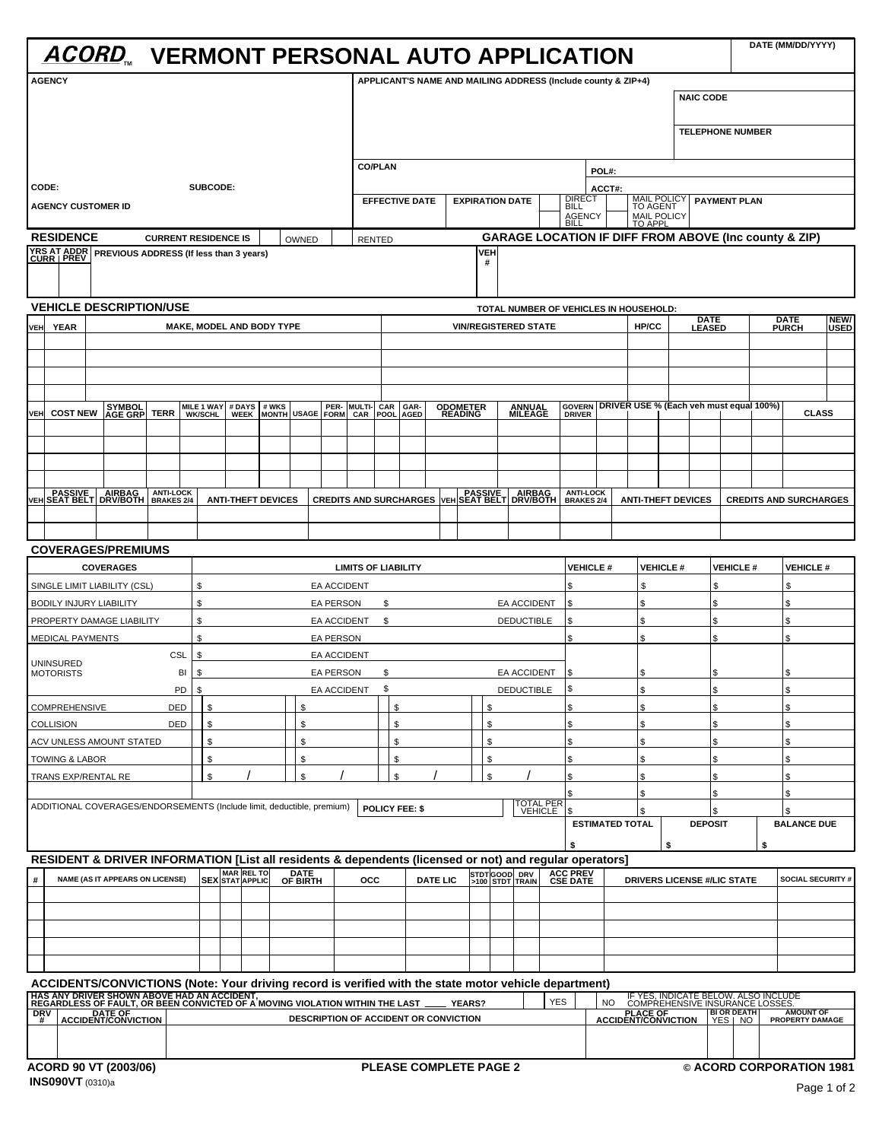|                                                                                                                         |                                                                                         |                                        |                                  |                                  |                                                                                                                                                                                                                                   |                                                               | DATE (MM/DD/YYYY)                                                                                                                                                                                                                                 |
|-------------------------------------------------------------------------------------------------------------------------|-----------------------------------------------------------------------------------------|----------------------------------------|----------------------------------|----------------------------------|-----------------------------------------------------------------------------------------------------------------------------------------------------------------------------------------------------------------------------------|---------------------------------------------------------------|---------------------------------------------------------------------------------------------------------------------------------------------------------------------------------------------------------------------------------------------------|
| <b>AGENCY</b>                                                                                                           |                                                                                         |                                        |                                  |                                  |                                                                                                                                                                                                                                   |                                                               |                                                                                                                                                                                                                                                   |
|                                                                                                                         |                                                                                         |                                        |                                  |                                  |                                                                                                                                                                                                                                   | APPLICANT'S NAME AND MAILING ADDRESS (Include county & ZIP+4) | <b>NAIC CODE</b>                                                                                                                                                                                                                                  |
|                                                                                                                         |                                                                                         |                                        |                                  |                                  |                                                                                                                                                                                                                                   |                                                               |                                                                                                                                                                                                                                                   |
|                                                                                                                         |                                                                                         |                                        |                                  |                                  |                                                                                                                                                                                                                                   |                                                               | <b>TELEPHONE NUMBER</b>                                                                                                                                                                                                                           |
|                                                                                                                         |                                                                                         | CO/PLAN                                |                                  |                                  | POL#:                                                                                                                                                                                                                             |                                                               |                                                                                                                                                                                                                                                   |
| CODE:<br><b>AGENCY CUSTOMER ID</b>                                                                                      | SUBCODE:                                                                                |                                        | EFFECTIVE DATE   EXPIRATION DATE |                                  | ACCT#                                                                                                                                                                                                                             |                                                               | MAIL POLICY   PAYMENT PLAN                                                                                                                                                                                                                        |
|                                                                                                                         |                                                                                         |                                        |                                  |                                  | <b>AGENCY</b>                                                                                                                                                                                                                     | <b>MAIL POLICY</b>                                            |                                                                                                                                                                                                                                                   |
| <b>RESIDENCE</b><br><b>CURRENT RESIDENCE IS</b><br>YRS AT ADDR<br>CURR   PREV   PREVIOUS ADDRESS (If less than 3 years) |                                                                                         | OWNED RENTED                           |                                  |                                  |                                                                                                                                                                                                                                   |                                                               | <b>GARAGE LOCATION IF DIFF FROM ABOVE (Inc county &amp; ZIP)</b>                                                                                                                                                                                  |
|                                                                                                                         |                                                                                         |                                        |                                  |                                  |                                                                                                                                                                                                                                   |                                                               |                                                                                                                                                                                                                                                   |
| <b>VEHICLE DESCRIPTION/USE</b>                                                                                          |                                                                                         |                                        |                                  |                                  |                                                                                                                                                                                                                                   | TOTAL NUMBER OF VEHICLES IN HOUSEHOLD:                        |                                                                                                                                                                                                                                                   |
|                                                                                                                         | <b>MAKE, MODEL AND BODY TYPE</b>                                                        |                                        |                                  | <b>VIN/REGISTERED STATE</b>      |                                                                                                                                                                                                                                   |                                                               | HP/CC DATE DATE NEW/<br>HP/CC LEASED PURCH USED                                                                                                                                                                                                   |
|                                                                                                                         |                                                                                         |                                        |                                  |                                  |                                                                                                                                                                                                                                   |                                                               |                                                                                                                                                                                                                                                   |
|                                                                                                                         |                                                                                         |                                        |                                  |                                  |                                                                                                                                                                                                                                   |                                                               |                                                                                                                                                                                                                                                   |
|                                                                                                                         |                                                                                         |                                        |                                  |                                  |                                                                                                                                                                                                                                   |                                                               | VEH COST NEW AGE GRP TERR MILE 1 WAY # DAYS  # WKS   DER- MULTI- CAR GAR- ODOMETER ANNUAL GOVERN DRIVER USE % (Each veh must equal 100%)  <br>VEH COST NEW AGE GRP TERR WK/SCHL WEEK MONTH USAGE FORM CAR POOL AGED READING MILEA<br><b>CLASS</b> |
|                                                                                                                         |                                                                                         |                                        |                                  |                                  |                                                                                                                                                                                                                                   |                                                               |                                                                                                                                                                                                                                                   |
|                                                                                                                         |                                                                                         |                                        |                                  |                                  |                                                                                                                                                                                                                                   |                                                               |                                                                                                                                                                                                                                                   |
|                                                                                                                         |                                                                                         |                                        |                                  |                                  |                                                                                                                                                                                                                                   |                                                               | PASSIVE AIRBAG ANTI-LOCK ANTI-THEFT DEVICES CREDITS AND SURCHARGES VEH SEAT BELT DRV/BOTH BRAKES 2/4 ANTI-THEFT DEVICES CREDITS AND SURCHARGES                                                                                                    |
|                                                                                                                         |                                                                                         |                                        |                                  |                                  |                                                                                                                                                                                                                                   |                                                               |                                                                                                                                                                                                                                                   |
| <b>COVERAGES/PREMIUMS</b>                                                                                               |                                                                                         |                                        |                                  |                                  |                                                                                                                                                                                                                                   |                                                               |                                                                                                                                                                                                                                                   |
| <b>COVERAGES</b>                                                                                                        |                                                                                         |                                        | <b>LIMITS OF LIABILITY</b>       |                                  |                                                                                                                                                                                                                                   |                                                               | $\vert$ VEHICLE # $\vert$ VEHICLE # $\vert$ VEHICLE # $\vert$ VEHICLE #                                                                                                                                                                           |
| SINGLE LIMIT LIABILITY (CSL)                                                                                            |                                                                                         | <b>EA ACCIDENT</b>                     |                                  |                                  |                                                                                                                                                                                                                                   |                                                               |                                                                                                                                                                                                                                                   |
| <b>BODILY INJURY LIABILITY</b><br>PROPERTY DAMAGE LIABILITY                                                             |                                                                                         | <b>EA PERSON</b><br><b>EA ACCIDENT</b> |                                  | EA ACCIDENT<br><b>DEDUCTIBLE</b> |                                                                                                                                                                                                                                   |                                                               |                                                                                                                                                                                                                                                   |
| MEDICAL PAYMENTS                                                                                                        |                                                                                         | <b>EA PERSON</b>                       |                                  |                                  |                                                                                                                                                                                                                                   |                                                               |                                                                                                                                                                                                                                                   |
| CSL   \$<br>UNINSURED<br><b>MOTORISTS</b>                                                                               |                                                                                         | <b>EA ACCIDENT</b><br>EA PERSON        |                                  | <b>EA ACCIDENT</b>               |                                                                                                                                                                                                                                   |                                                               |                                                                                                                                                                                                                                                   |
|                                                                                                                         |                                                                                         | EA ACCIDENT \$                         |                                  | DEDUCTIBLE                       |                                                                                                                                                                                                                                   |                                                               |                                                                                                                                                                                                                                                   |
| COMPREHENSIVE<br>DED                                                                                                    |                                                                                         |                                        |                                  |                                  |                                                                                                                                                                                                                                   |                                                               |                                                                                                                                                                                                                                                   |
| <b>COLLISION</b><br>DED<br>ACV UNLESS AMOUNT STATED                                                                     |                                                                                         |                                        |                                  |                                  |                                                                                                                                                                                                                                   |                                                               |                                                                                                                                                                                                                                                   |
| TOWING & LABOR<br>TRANS EXP/RENTAL RE                                                                                   |                                                                                         |                                        |                                  |                                  |                                                                                                                                                                                                                                   |                                                               |                                                                                                                                                                                                                                                   |
|                                                                                                                         |                                                                                         |                                        |                                  |                                  |                                                                                                                                                                                                                                   |                                                               |                                                                                                                                                                                                                                                   |
|                                                                                                                         | ADDITIONAL COVERAGES/ENDORSEMENTS (Include limit, deductible, premium)   POLICY FEE: \$ |                                        |                                  | <b>TOTAL PER</b><br>VEHICLE      |                                                                                                                                                                                                                                   |                                                               |                                                                                                                                                                                                                                                   |
|                                                                                                                         |                                                                                         |                                        |                                  |                                  |                                                                                                                                                                                                                                   | <b>ESTIMATED TOTAL</b>                                        | <b>DEPOSIT</b><br><b>BALANCE DUE</b>                                                                                                                                                                                                              |
|                                                                                                                         |                                                                                         |                                        |                                  |                                  | RESIDENT & DRIVER INFORMATION [List all residents & dependents (licensed or not) and regular operators]<br># NAME (ASIT APPEARS ON LICENSE) SEX STAT APPLIC OF BIRTH OCC DATE LIC 3100 STDT TRAIN CSE DATE DRI                    |                                                               |                                                                                                                                                                                                                                                   |
|                                                                                                                         |                                                                                         |                                        |                                  |                                  |                                                                                                                                                                                                                                   |                                                               | DRIVERS LICENSE #/LIC STATE SOCIAL SECURITY #                                                                                                                                                                                                     |
|                                                                                                                         |                                                                                         |                                        |                                  |                                  |                                                                                                                                                                                                                                   |                                                               |                                                                                                                                                                                                                                                   |
|                                                                                                                         |                                                                                         |                                        |                                  |                                  |                                                                                                                                                                                                                                   |                                                               |                                                                                                                                                                                                                                                   |
|                                                                                                                         |                                                                                         |                                        |                                  |                                  |                                                                                                                                                                                                                                   |                                                               |                                                                                                                                                                                                                                                   |
|                                                                                                                         |                                                                                         |                                        |                                  |                                  |                                                                                                                                                                                                                                   |                                                               |                                                                                                                                                                                                                                                   |
|                                                                                                                         |                                                                                         |                                        |                                  |                                  | ACCIDENTS/CONVICTIONS (Note: Your driving record is verified with the state motor vehicle department)<br>HAS ANY DRIVER SHOWN ABOVE HAD AN ACCIDENT,<br>REGARDLESS OF FAULT, OR BEEN CONVICTED OF A MOVING VIOLATION WITHIN THE L |                                                               | A FYES INDICATE BELOW, ALSO INCLUDE<br>NO COMPREHENSIVE INSURANCE LOSSES.<br>ACCIDENT/CONVICTION YES   NO PROPERTY DAMOUNT OF                                                                                                                     |
|                                                                                                                         |                                                                                         |                                        |                                  |                                  |                                                                                                                                                                                                                                   |                                                               |                                                                                                                                                                                                                                                   |
|                                                                                                                         |                                                                                         |                                        |                                  |                                  |                                                                                                                                                                                                                                   |                                                               |                                                                                                                                                                                                                                                   |
| <b>ACORD 90 VT (2003/06)</b>                                                                                            |                                                                                         |                                        |                                  |                                  | <b>PLEASE COMPLETE PAGE 2</b>                                                                                                                                                                                                     | © ACORD CORPORATION 1981                                      |                                                                                                                                                                                                                                                   |